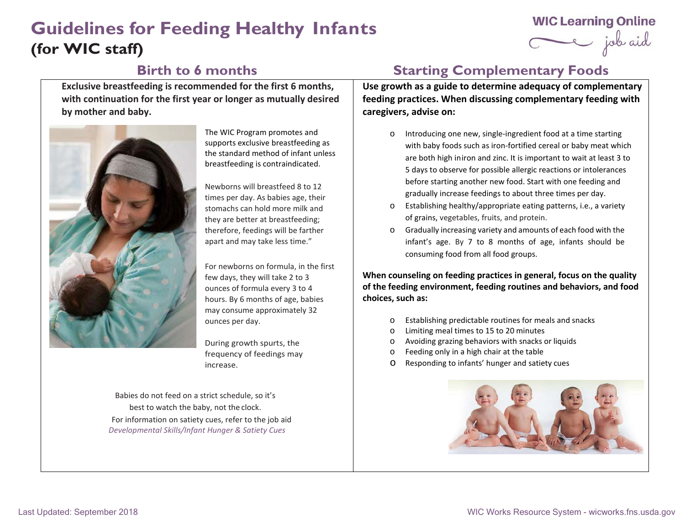# **Guidelines for Feeding Healthy Infants (for WIC staff)**

## **WIC Learning Online**

Ce job aid

**Exclusive breastfeeding is recommended for the first 6 months, with continuation for the first year or longer as mutually desired by mother and baby.** 



The WIC Program promotes and supports exclusive breastfeeding as the standard method of infant unless breastfeeding is contraindicated.

Newborns will breastfeed 8 to 12 times per day. As babies age, their stomachs can hold more milk and they are better at breastfeeding; therefore, feedings will be farther apart and may take less time."

For newborns on formula, in the first few days, they will take 2 to 3 ounces of formula every 3 to 4 hours. By 6 months of age, babies may consume approximately 32 ounces per day.

During growth spurts, the frequency of feedings may increase.

Babies do not feed on a strict schedule, so it's best to watch the baby, not the clock. For information on satiety cues, refer to the job aid *Developmental Skills/Infant Hunger & Satiety Cues*

## **Birth to 6 months Starting Complementary Foods**

**Use growth as a guide to determine adequacy of complementary feeding practices. When discussing complementary feeding with caregivers, advise on:**

- o Introducing one new, single-ingredient food at a time starting with baby foods such as iron-fortified cereal or baby meat which are both high iniron and zinc. It is important to wait at least 3 to 5 days to observe for possible allergic reactions or intolerances before starting another new food. Start with one feeding and gradually increase feedings to about three times per day.
- o Establishing healthy/appropriate eating patterns, i.e., a variety of grains, vegetables, fruits, and protein.
- o Gradually increasing variety and amounts of each food with the infant's age. By 7 to 8 months of age, infants should be consuming food from all food groups.

**When counseling on feeding practices in general, focus on the quality of the feeding environment, feeding routines and behaviors, and food choices, such as:**

- o Establishing predictable routines for meals and snacks
- o Limiting meal times to 15 to 20 minutes
- o Avoiding grazing behaviors with snacks or liquids
- o Feeding only in a high chair at the table
- o Responding to infants' hunger and satiety cues